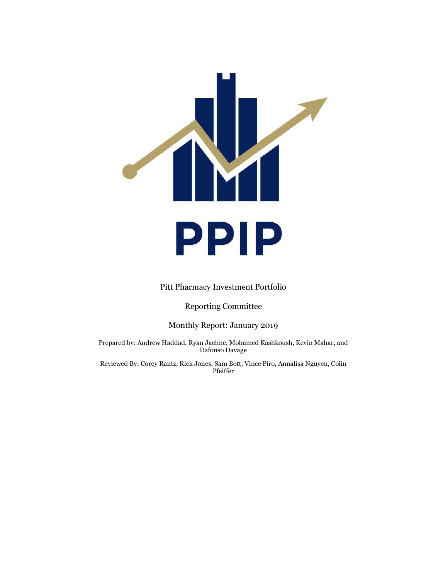

Pitt Pharmacy Investment Portfolio

Reporting Committee

Monthly Report: January 2019

Prepared by: Andrew Haddad, Ryan Jaehne, Mohamed Kashkoush, Kevin Mahar, and Dafonso Davage

Reviewed By: Corey Rantz, Rick Jones, Sam Bott, Vince Piro, Annalisa Nguyen, Colin Pfeiffer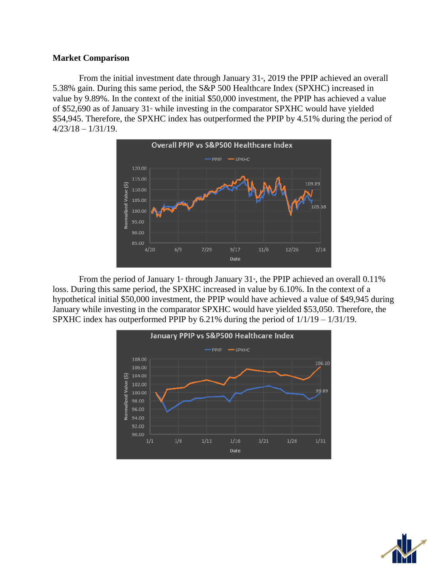# **Market Comparison**

From the initial investment date through January  $31<sub>s</sub>$ , 2019 the PPIP achieved an overall 5.38% gain. During this same period, the S&P 500 Healthcare Index (SPXHC) increased in value by 9.89%. In the context of the initial \$50,000 investment, the PPIP has achieved a value of \$52,690 as of January  $31$ <sup>st</sup> while investing in the comparator SPXHC would have yielded \$54,945. Therefore, the SPXHC index has outperformed the PPIP by 4.51% during the period of 4/23/18 – 1/31/19.



From the period of January 1<sup>st</sup> through January 31<sup>st</sup>, the PPIP achieved an overall 0.11% loss. During this same period, the SPXHC increased in value by 6.10%. In the context of a hypothetical initial \$50,000 investment, the PPIP would have achieved a value of \$49,945 during January while investing in the comparator SPXHC would have yielded \$53,050. Therefore, the SPXHC index has outperformed PPIP by 6.21% during the period of 1/1/19 – 1/31/19.



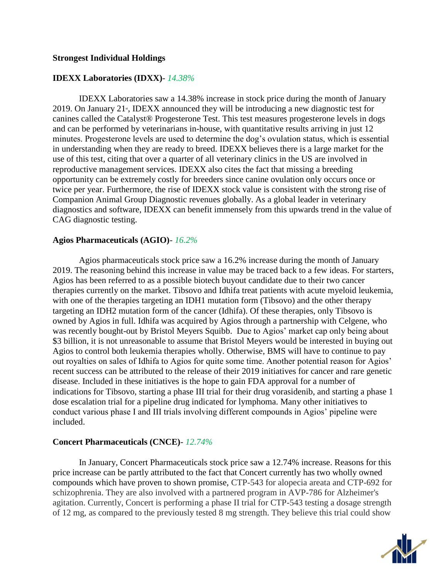# **Strongest Individual Holdings**

# **IDEXX Laboratories (IDXX)***- 14.38%*

IDEXX Laboratories saw a 14.38% increase in stock price during the month of January 2019. On January  $21<sup>s</sup>$ , IDEXX announced they will be introducing a new diagnostic test for canines called the Catalyst® Progesterone Test. This test measures progesterone levels in dogs and can be performed by veterinarians in-house, with quantitative results arriving in just 12 minutes. Progesterone levels are used to determine the dog's ovulation status, which is essential in understanding when they are ready to breed. IDEXX believes there is a large market for the use of this test, citing that over a quarter of all veterinary clinics in the US are involved in reproductive management services. IDEXX also cites the fact that missing a breeding opportunity can be extremely costly for breeders since canine ovulation only occurs once or twice per year. Furthermore, the rise of IDEXX stock value is consistent with the strong rise of Companion Animal Group Diagnostic revenues globally. As a global leader in veterinary diagnostics and software, IDEXX can benefit immensely from this upwards trend in the value of CAG diagnostic testing.

## **Agios Pharmaceuticals (AGIO)***- 16.2%*

Agios pharmaceuticals stock price saw a 16.2% increase during the month of January 2019. The reasoning behind this increase in value may be traced back to a few ideas. For starters, Agios has been referred to as a possible biotech buyout candidate due to their two cancer therapies currently on the market. Tibsovo and Idhifa treat patients with acute myeloid leukemia, with one of the therapies targeting an IDH1 mutation form (Tibsovo) and the other therapy targeting an IDH2 mutation form of the cancer (Idhifa). Of these therapies, only Tibsovo is owned by Agios in full. Idhifa was acquired by Agios through a partnership with Celgene, who was recently bought-out by Bristol Meyers Squibb. Due to Agios' market cap only being about \$3 billion, it is not unreasonable to assume that Bristol Meyers would be interested in buying out Agios to control both leukemia therapies wholly. Otherwise, BMS will have to continue to pay out royalties on sales of Idhifa to Agios for quite some time. Another potential reason for Agios' recent success can be attributed to the release of their 2019 initiatives for cancer and rare genetic disease. Included in these initiatives is the hope to gain FDA approval for a number of indications for Tibsovo, starting a phase III trial for their drug vorasidenib, and starting a phase 1 dose escalation trial for a pipeline drug indicated for lymphoma. Many other initiatives to conduct various phase I and III trials involving different compounds in Agios' pipeline were included.

# **Concert Pharmaceuticals (CNCE)***- 12.74%*

In January, Concert Pharmaceuticals stock price saw a 12.74% increase. Reasons for this price increase can be partly attributed to the fact that Concert currently has two wholly owned compounds which have proven to shown promise, CTP-543 for alopecia areata and CTP-692 for schizophrenia. They are also involved with a partnered program in AVP-786 for Alzheimer's agitation. Currently, Concert is performing a phase II trial for CTP-543 testing a dosage strength of 12 mg, as compared to the previously tested 8 mg strength. They believe this trial could show

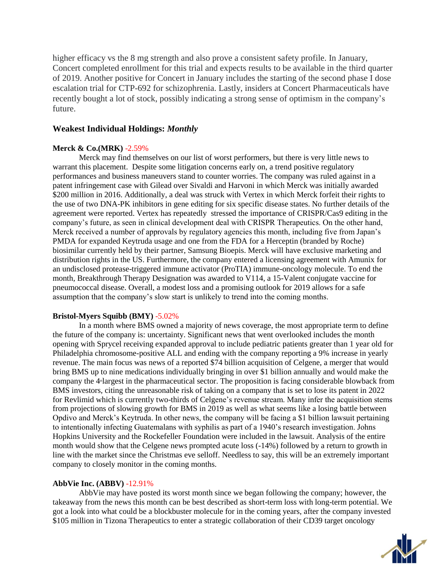higher efficacy vs the 8 mg strength and also prove a consistent safety profile. In January, Concert completed enrollment for this trial and expects results to be available in the third quarter of 2019. Another positive for Concert in January includes the starting of the second phase I dose escalation trial for CTP-692 for schizophrenia. Lastly, insiders at Concert Pharmaceuticals have recently bought a lot of stock, possibly indicating a strong sense of optimism in the company's future.

## **Weakest Individual Holdings:** *Monthly*

## **Merck & Co.(MRK)** -2.59%

Merck may find themselves on our list of worst performers, but there is very little news to warrant this placement. Despite some litigation concerns early on, a trend positive regulatory performances and business maneuvers stand to counter worries. The company was ruled against in a patent infringement case with Gilead over Sivaldi and Harvoni in which Merck was initially awarded \$200 million in 2016. Additionally, a deal was struck with Vertex in which Merck forfeit their rights to the use of two DNA-PK inhibitors in gene editing for six specific disease states. No further details of the agreement were reported. Vertex has repeatedly stressed the importance of CRISPR/Cas9 editing in the company's future, as seen in clinical development deal with CRISPR Therapeutics. On the other hand, Merck received a number of approvals by regulatory agencies this month, including five from Japan's PMDA for expanded Keytruda usage and one from the FDA for a Herceptin (branded by Roche) biosimilar currently held by their partner, Samsung Bioepis. Merck will have exclusive marketing and distribution rights in the US. Furthermore, the company entered a licensing agreement with Amunix for an undisclosed protease-triggered immune activator (ProTIA) immune-oncology molecule. To end the month, Breakthrough Therapy Designation was awarded to V114, a 15-Valent conjugate vaccine for pneumococcal disease. Overall, a modest loss and a promising outlook for 2019 allows for a safe assumption that the company's slow start is unlikely to trend into the coming months.

## **Bristol-Myers Squibb (BMY)** -5.02%

In a month where BMS owned a majority of news coverage, the most appropriate term to define the future of the company is: uncertainty. Significant news that went overlooked includes the month opening with Sprycel receiving expanded approval to include pediatric patients greater than 1 year old for Philadelphia chromosome-positive ALL and ending with the company reporting a 9% increase in yearly revenue. The main focus was news of a reported \$74 billion acquisition of Celgene, a merger that would bring BMS up to nine medications individually bringing in over \$1 billion annually and would make the company the 4<sup>th</sup>largest in the pharmaceutical sector. The proposition is facing considerable blowback from BMS investors, citing the unreasonable risk of taking on a company that is set to lose its patent in 2022 for Revlimid which is currently two-thirds of Celgene's revenue stream. Many infer the acquisition stems from projections of slowing growth for BMS in 2019 as well as what seems like a losing battle between Opdivo and Merck's Keytruda. In other news, the company will be facing a \$1 billion lawsuit pertaining to intentionally infecting Guatemalans with syphilis as part of a 1940's research investigation. Johns Hopkins University and the Rockefeller Foundation were included in the lawsuit. Analysis of the entire month would show that the Celgene news prompted acute loss (-14%) followed by a return to growth in line with the market since the Christmas eve selloff. Needless to say, this will be an extremely important company to closely monitor in the coming months.

## **AbbVie Inc. (ABBV)** -12.91%

AbbVie may have posted its worst month since we began following the company; however, the takeaway from the news this month can be best described as short-term loss with long-term potential. We got a look into what could be a blockbuster molecule for in the coming years, after the company invested \$105 million in Tizona Therapeutics to enter a strategic collaboration of their CD39 target oncology